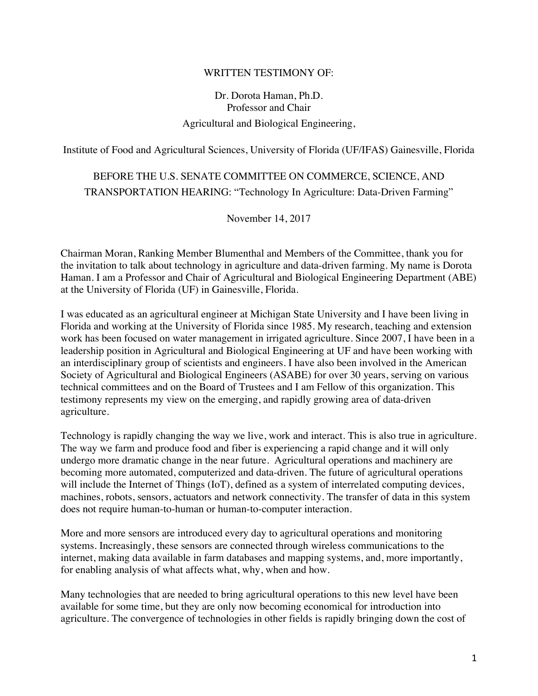## WRITTEN TESTIMONY OF:

## Dr. Dorota Haman, Ph.D. Professor and Chair Agricultural and Biological Engineering,

Institute of Food and Agricultural Sciences, University of Florida (UF/IFAS) Gainesville, Florida

## BEFORE THE U.S. SENATE COMMITTEE ON COMMERCE, SCIENCE, AND TRANSPORTATION HEARING: "Technology In Agriculture: Data-Driven Farming"

November 14, 2017

Chairman Moran, Ranking Member Blumenthal and Members of the Committee, thank you for the invitation to talk about technology in agriculture and data-driven farming. My name is Dorota Haman. I am a Professor and Chair of Agricultural and Biological Engineering Department (ABE) at the University of Florida (UF) in Gainesville, Florida.

I was educated as an agricultural engineer at Michigan State University and I have been living in Florida and working at the University of Florida since 1985. My research, teaching and extension work has been focused on water management in irrigated agriculture. Since 2007, I have been in a leadership position in Agricultural and Biological Engineering at UF and have been working with an interdisciplinary group of scientists and engineers. I have also been involved in the American Society of Agricultural and Biological Engineers (ASABE) for over 30 years, serving on various technical committees and on the Board of Trustees and I am Fellow of this organization. This testimony represents my view on the emerging, and rapidly growing area of data-driven agriculture.

Technology is rapidly changing the way we live, work and interact. This is also true in agriculture. The way we farm and produce food and fiber is experiencing a rapid change and it will only undergo more dramatic change in the near future. Agricultural operations and machinery are becoming more automated, computerized and data-driven. The future of agricultural operations will include the Internet of Things (IoT), defined as a system of interrelated computing devices, machines, robots, sensors, actuators and network connectivity. The transfer of data in this system does not require human-to-human or human-to-computer interaction.

More and more sensors are introduced every day to agricultural operations and monitoring systems. Increasingly, these sensors are connected through wireless communications to the internet, making data available in farm databases and mapping systems, and, more importantly, for enabling analysis of what affects what, why, when and how.

Many technologies that are needed to bring agricultural operations to this new level have been available for some time, but they are only now becoming economical for introduction into agriculture. The convergence of technologies in other fields is rapidly bringing down the cost of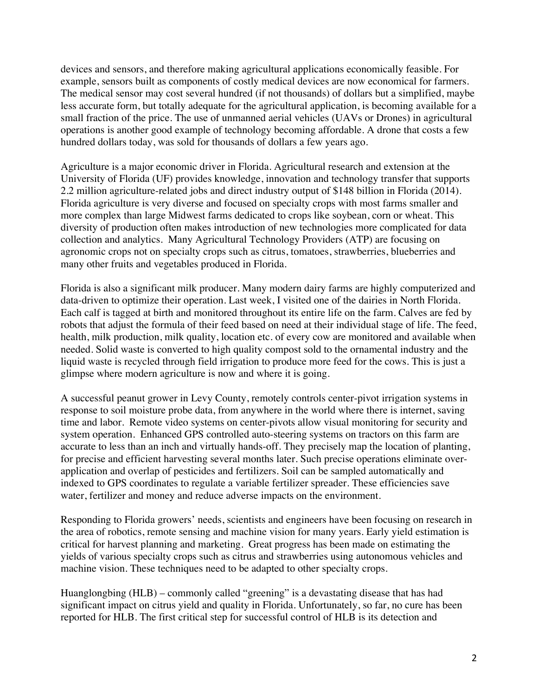devices and sensors, and therefore making agricultural applications economically feasible. For example, sensors built as components of costly medical devices are now economical for farmers. The medical sensor may cost several hundred (if not thousands) of dollars but a simplified, maybe less accurate form, but totally adequate for the agricultural application, is becoming available for a small fraction of the price. The use of unmanned aerial vehicles (UAVs or Drones) in agricultural operations is another good example of technology becoming affordable. A drone that costs a few hundred dollars today, was sold for thousands of dollars a few years ago.

Agriculture is a major economic driver in Florida. Agricultural research and extension at the University of Florida (UF) provides knowledge, innovation and technology transfer that supports 2.2 million agriculture-related jobs and direct industry output of \$148 billion in Florida (2014). Florida agriculture is very diverse and focused on specialty crops with most farms smaller and more complex than large Midwest farms dedicated to crops like soybean, corn or wheat. This diversity of production often makes introduction of new technologies more complicated for data collection and analytics. Many Agricultural Technology Providers (ATP) are focusing on agronomic crops not on specialty crops such as citrus, tomatoes, strawberries, blueberries and many other fruits and vegetables produced in Florida.

Florida is also a significant milk producer. Many modern dairy farms are highly computerized and data-driven to optimize their operation. Last week, I visited one of the dairies in North Florida. Each calf is tagged at birth and monitored throughout its entire life on the farm. Calves are fed by robots that adjust the formula of their feed based on need at their individual stage of life. The feed, health, milk production, milk quality, location etc. of every cow are monitored and available when needed. Solid waste is converted to high quality compost sold to the ornamental industry and the liquid waste is recycled through field irrigation to produce more feed for the cows. This is just a glimpse where modern agriculture is now and where it is going.

A successful peanut grower in Levy County, remotely controls center-pivot irrigation systems in response to soil moisture probe data, from anywhere in the world where there is internet, saving time and labor. Remote video systems on center-pivots allow visual monitoring for security and system operation. Enhanced GPS controlled auto-steering systems on tractors on this farm are accurate to less than an inch and virtually hands-off. They precisely map the location of planting, for precise and efficient harvesting several months later. Such precise operations eliminate overapplication and overlap of pesticides and fertilizers. Soil can be sampled automatically and indexed to GPS coordinates to regulate a variable fertilizer spreader. These efficiencies save water, fertilizer and money and reduce adverse impacts on the environment.

Responding to Florida growers' needs, scientists and engineers have been focusing on research in the area of robotics, remote sensing and machine vision for many years. Early yield estimation is critical for harvest planning and marketing. Great progress has been made on estimating the yields of various specialty crops such as citrus and strawberries using autonomous vehicles and machine vision. These techniques need to be adapted to other specialty crops.

Huanglongbing (HLB) – commonly called "greening" is a devastating disease that has had significant impact on citrus yield and quality in Florida. Unfortunately, so far, no cure has been reported for HLB. The first critical step for successful control of HLB is its detection and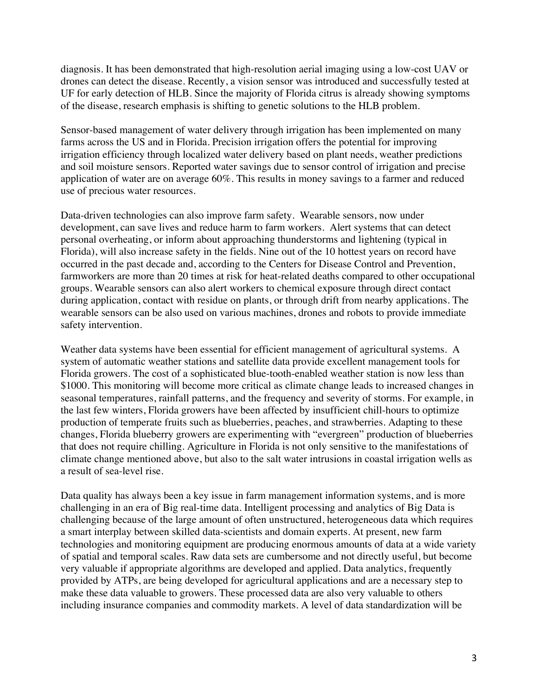diagnosis. It has been demonstrated that high-resolution aerial imaging using a low-cost UAV or drones can detect the disease. Recently, a vision sensor was introduced and successfully tested at UF for early detection of HLB. Since the majority of Florida citrus is already showing symptoms of the disease, research emphasis is shifting to genetic solutions to the HLB problem.

Sensor-based management of water delivery through irrigation has been implemented on many farms across the US and in Florida. Precision irrigation offers the potential for improving irrigation efficiency through localized water delivery based on plant needs, weather predictions and soil moisture sensors. Reported water savings due to sensor control of irrigation and precise application of water are on average 60%. This results in money savings to a farmer and reduced use of precious water resources.

Data-driven technologies can also improve farm safety. Wearable sensors, now under development, can save lives and reduce harm to farm workers. Alert systems that can detect personal overheating, or inform about approaching thunderstorms and lightening (typical in Florida), will also increase safety in the fields. Nine out of the 10 hottest years on record have occurred in the past decade and, according to the Centers for Disease Control and Prevention, farmworkers are more than 20 times at risk for heat-related deaths compared to other occupational groups. Wearable sensors can also alert workers to chemical exposure through direct contact during application, contact with residue on plants, or through drift from nearby applications. The wearable sensors can be also used on various machines, drones and robots to provide immediate safety intervention.

Weather data systems have been essential for efficient management of agricultural systems. A system of automatic weather stations and satellite data provide excellent management tools for Florida growers. The cost of a sophisticated blue-tooth-enabled weather station is now less than \$1000. This monitoring will become more critical as climate change leads to increased changes in seasonal temperatures, rainfall patterns, and the frequency and severity of storms. For example, in the last few winters, Florida growers have been affected by insufficient chill-hours to optimize production of temperate fruits such as blueberries, peaches, and strawberries. Adapting to these changes, Florida blueberry growers are experimenting with "evergreen" production of blueberries that does not require chilling. Agriculture in Florida is not only sensitive to the manifestations of climate change mentioned above, but also to the salt water intrusions in coastal irrigation wells as a result of sea-level rise.

Data quality has always been a key issue in farm management information systems, and is more challenging in an era of Big real-time data. Intelligent processing and analytics of Big Data is challenging because of the large amount of often unstructured, heterogeneous data which requires a smart interplay between skilled data-scientists and domain experts. At present, new farm technologies and monitoring equipment are producing enormous amounts of data at a wide variety of spatial and temporal scales. Raw data sets are cumbersome and not directly useful, but become very valuable if appropriate algorithms are developed and applied. Data analytics, frequently provided by ATPs, are being developed for agricultural applications and are a necessary step to make these data valuable to growers. These processed data are also very valuable to others including insurance companies and commodity markets. A level of data standardization will be